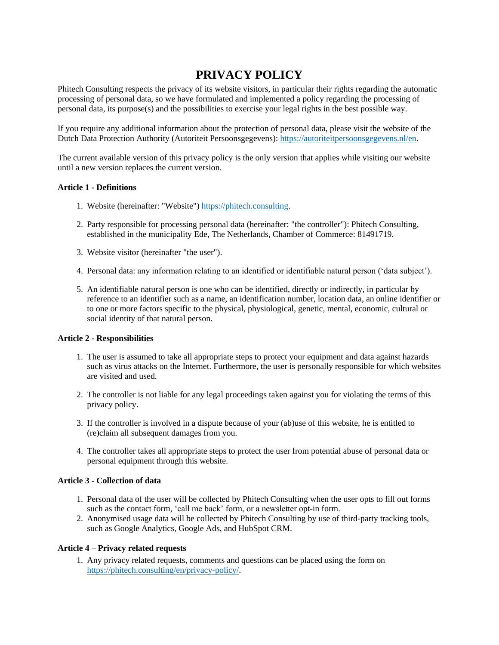# **PRIVACY POLICY**

Phitech Consulting respects the privacy of its website visitors, in particular their rights regarding the automatic processing of personal data, so we have formulated and implemented a policy regarding the processing of personal data, its purpose(s) and the possibilities to exercise your legal rights in the best possible way.

If you require any additional information about the protection of personal data, please visit the website of the Dutch Data Protection Authority (Autoriteit Persoonsgegevens): [https://autoriteitpersoonsgegevens.nl/en.](https://autoriteitpersoonsgegevens.nl/en)

The current available version of this privacy policy is the only version that applies while visiting our website until a new version replaces the current version.

#### **Article 1 - Definitions**

- 1. Website (hereinafter: "Website") [https://phitech.consulting.](https://phitech.consulting/)
- 2. Party responsible for processing personal data (hereinafter: "the controller"): Phitech Consulting, established in the municipality Ede, The Netherlands, Chamber of Commerce: 81491719.
- 3. Website visitor (hereinafter "the user").
- 4. Personal data: any information relating to an identified or identifiable natural person ('data subject').
- 5. An identifiable natural person is one who can be identified, directly or indirectly, in particular by reference to an identifier such as a name, an identification number, location data, an online identifier or to one or more factors specific to the physical, physiological, genetic, mental, economic, cultural or social identity of that natural person.

### **Article 2 - Responsibilities**

- 1. The user is assumed to take all appropriate steps to protect your equipment and data against hazards such as virus attacks on the Internet. Furthermore, the user is personally responsible for which websites are visited and used.
- 2. The controller is not liable for any legal proceedings taken against you for violating the terms of this privacy policy.
- 3. If the controller is involved in a dispute because of your (ab)use of this website, he is entitled to (re)claim all subsequent damages from you.
- 4. The controller takes all appropriate steps to protect the user from potential abuse of personal data or personal equipment through this website.

#### **Article 3 - Collection of data**

- 1. Personal data of the user will be collected by Phitech Consulting when the user opts to fill out forms such as the contact form, 'call me back' form, or a newsletter opt-in form.
- 2. Anonymised usage data will be collected by Phitech Consulting by use of third-party tracking tools, such as Google Analytics, Google Ads, and HubSpot CRM.

#### **Article 4 – Privacy related requests**

1. Any privacy related requests, comments and questions can be placed using the form on [https://phitech.consulting/en/privacy-policy/.](https://phitech.consulting/en/privacy-policy/)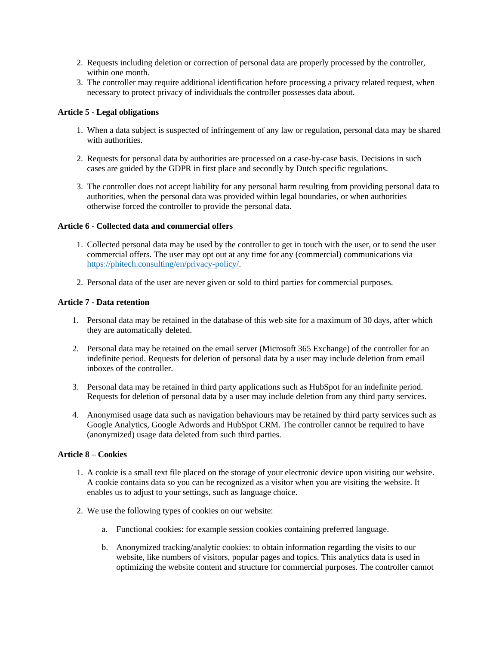- 2. Requests including deletion or correction of personal data are properly processed by the controller, within one month.
- 3. The controller may require additional identification before processing a privacy related request, when necessary to protect privacy of individuals the controller possesses data about.

### **Article 5 - Legal obligations**

- 1. When a data subject is suspected of infringement of any law or regulation, personal data may be shared with authorities.
- 2. Requests for personal data by authorities are processed on a case-by-case basis. Decisions in such cases are guided by the GDPR in first place and secondly by Dutch specific regulations.
- 3. The controller does not accept liability for any personal harm resulting from providing personal data to authorities, when the personal data was provided within legal boundaries, or when authorities otherwise forced the controller to provide the personal data.

### **Article 6 - Collected data and commercial offers**

- 1. Collected personal data may be used by the controller to get in touch with the user, or to send the user commercial offers. The user may opt out at any time for any (commercial) communications via [https://phitech.consulting/en/privacy-policy/.](https://phitech.consulting/en/privacy-policy/)
- 2. Personal data of the user are never given or sold to third parties for commercial purposes.

### **Article 7 - Data retention**

- 1. Personal data may be retained in the database of this web site for a maximum of 30 days, after which they are automatically deleted.
- 2. Personal data may be retained on the email server (Microsoft 365 Exchange) of the controller for an indefinite period. Requests for deletion of personal data by a user may include deletion from email inboxes of the controller.
- 3. Personal data may be retained in third party applications such as HubSpot for an indefinite period. Requests for deletion of personal data by a user may include deletion from any third party services.
- 4. Anonymised usage data such as navigation behaviours may be retained by third party services such as Google Analytics, Google Adwords and HubSpot CRM. The controller cannot be required to have (anonymized) usage data deleted from such third parties.

### **Article 8 – Cookies**

- 1. A cookie is a small text file placed on the storage of your electronic device upon visiting our website. A cookie contains data so you can be recognized as a visitor when you are visiting the website. It enables us to adjust to your settings, such as language choice.
- 2. We use the following types of cookies on our website:
	- a. Functional cookies: for example session cookies containing preferred language.
	- b. Anonymized tracking/analytic cookies: to obtain information regarding the visits to our website, like numbers of visitors, popular pages and topics. This analytics data is used in optimizing the website content and structure for commercial purposes. The controller cannot